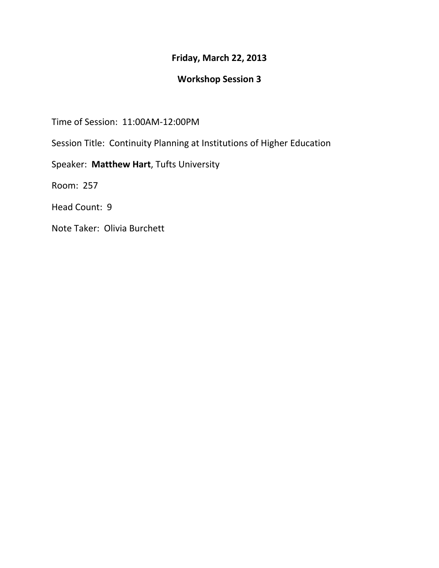## **Friday, March 22, 2013**

## **Workshop Session 3**

Time of Session: 11:00AM-12:00PM

Session Title: Continuity Planning at Institutions of Higher Education

Speaker: **Matthew Hart**, Tufts University

Room: 257

Head Count: 9

Note Taker: Olivia Burchett